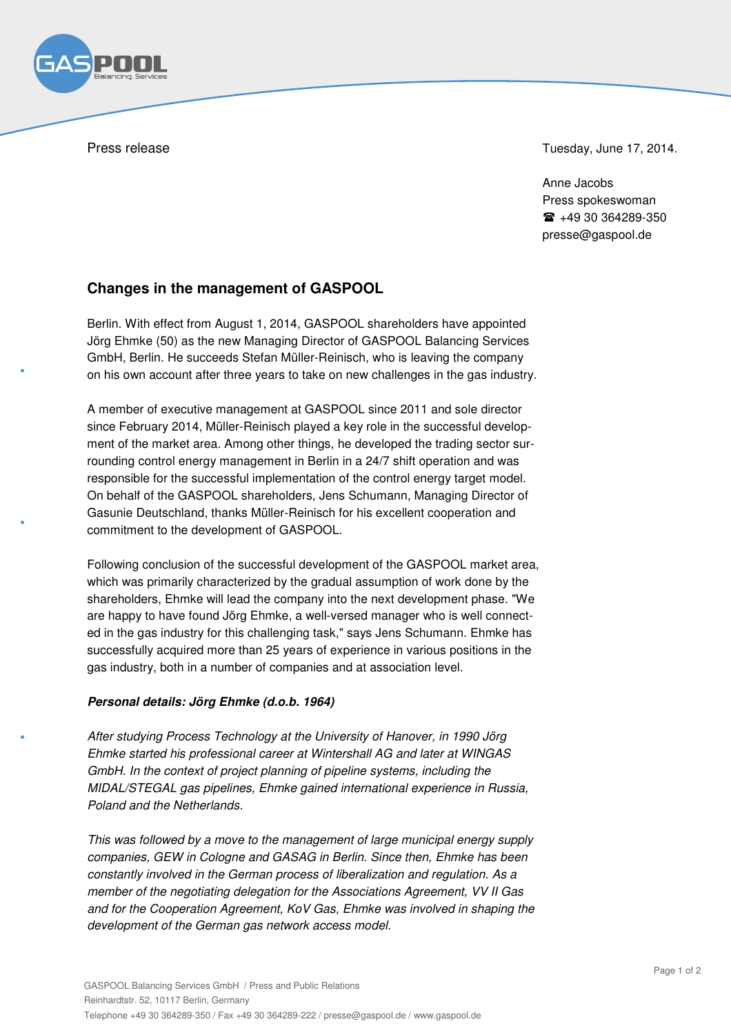Press release Tuesday, June 17, 2014.

Anne Jacobs Press spokeswoman  $\text{m}$  +49 30 364289-350 presse@gaspool.de

## **Changes in the management of GASPOOL**

Berlin. With effect from August 1, 2014, GASPOOL shareholders have appointed Jörg Ehmke (50) as the new Managing Director of GASPOOL Balancing Services GmbH, Berlin. He succeeds Stefan Müller-Reinisch, who is leaving the company on his own account after three years to take on new challenges in the gas industry.

A member of executive management at GASPOOL since 2011 and sole director since February 2014, Müller-Reinisch played a key role in the successful development of the market area. Among other things, he developed the trading sector surrounding control energy management in Berlin in a 24/7 shift operation and was responsible for the successful implementation of the control energy target model. On behalf of the GASPOOL shareholders, Jens Schumann, Managing Director of Gasunie Deutschland, thanks Müller-Reinisch for his excellent cooperation and commitment to the development of GASPOOL.

Following conclusion of the successful development of the GASPOOL market area, which was primarily characterized by the gradual assumption of work done by the shareholders, Ehmke will lead the company into the next development phase. "We are happy to have found Jörg Ehmke, a well-versed manager who is well connected in the gas industry for this challenging task," says Jens Schumann. Ehmke has successfully acquired more than 25 years of experience in various positions in the gas industry, both in a number of companies and at association level.

## *Personal details: Jörg Ehmke (d.o.b. 1964)*

After studying Process Technology at the University of Hanover, in 1990 Jörg Ehmke started his professional career at Wintershall AG and later at WINGAS GmbH. In the context of project planning of pipeline systems, including the MIDAL/STEGAL gas pipelines, Ehmke gained international experience in Russia, Poland and the Netherlands.

This was followed by a move to the management of large municipal energy supply companies, GEW in Cologne and GASAG in Berlin. Since then, Ehmke has been constantly involved in the German process of liberalization and regulation. As a member of the negotiating delegation for the Associations Agreement, VV II Gas and for the Cooperation Agreement, KoV Gas, Ehmke was involved in shaping the development of the German gas network access model.